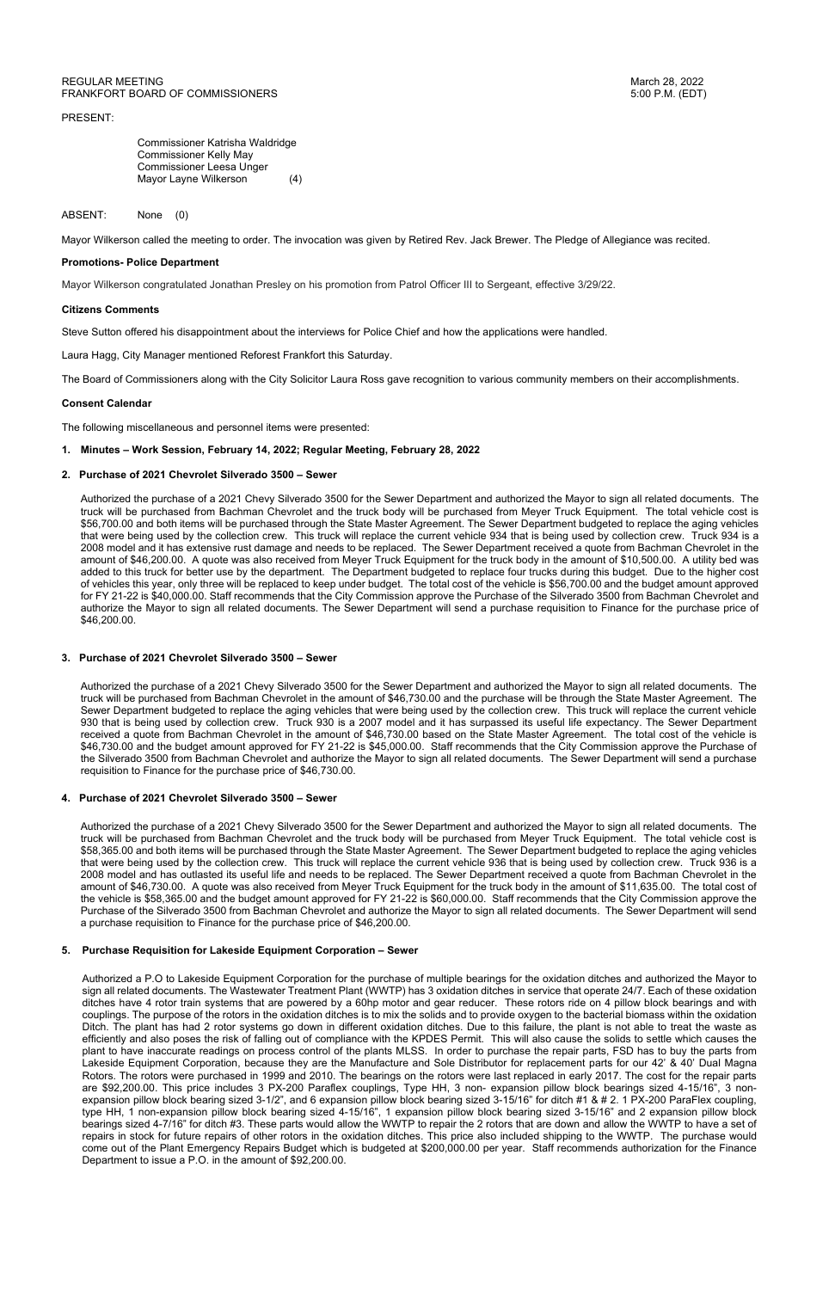## REGULAR MEETING MARCH 28, 2022 FRANKFORT BOARD OF COMMISSIONERS **FRANKFORT BOARD OF COMMISSIONERS** 5:00 P.M. (EDT)

PRESENT:

 Commissioner Katrisha Waldridge Commissioner Kelly May Commissioner Leesa Unger Mayor Layne Wilkerson (4)

ABSENT: None (0)

Mayor Wilkerson called the meeting to order. The invocation was given by Retired Rev. Jack Brewer. The Pledge of Allegiance was recited.

## **Promotions- Police Department**

Mayor Wilkerson congratulated Jonathan Presley on his promotion from Patrol Officer III to Sergeant, effective 3/29/22.

## **Citizens Comments**

Steve Sutton offered his disappointment about the interviews for Police Chief and how the applications were handled.

Laura Hagg, City Manager mentioned Reforest Frankfort this Saturday.

The Board of Commissioners along with the City Solicitor Laura Ross gave recognition to various community members on their accomplishments.

## **Consent Calendar**

The following miscellaneous and personnel items were presented:

## **1. Minutes – Work Session, February 14, 2022; Regular Meeting, February 28, 2022**

## **2. Purchase of 2021 Chevrolet Silverado 3500 – Sewer**

Authorized the purchase of a 2021 Chevy Silverado 3500 for the Sewer Department and authorized the Mayor to sign all related documents. The truck will be purchased from Bachman Chevrolet and the truck body will be purchased from Meyer Truck Equipment. The total vehicle cost is \$56,700.00 and both items will be purchased through the State Master Agreement. The Sewer Department budgeted to replace the aging vehicles that were being used by the collection crew. This truck will replace the current vehicle 934 that is being used by collection crew. Truck 934 is a 2008 model and it has extensive rust damage and needs to be replaced. The Sewer Department received a quote from Bachman Chevrolet in the amount of \$46,200.00. A quote was also received from Meyer Truck Equipment for the truck body in the amount of \$10,500.00. A utility bed was added to this truck for better use by the department. The Department budgeted to replace four trucks during this budget. Due to the higher cost of vehicles this year, only three will be replaced to keep under budget. The total cost of the vehicle is \$56,700.00 and the budget amount approved for FY 21-22 is \$40,000.00. Staff recommends that the City Commission approve the Purchase of the Silverado 3500 from Bachman Chevrolet and authorize the Mayor to sign all related documents. The Sewer Department will send a purchase requisition to Finance for the purchase price of \$46,200.00.

## **3. Purchase of 2021 Chevrolet Silverado 3500 – Sewer**

Authorized the purchase of a 2021 Chevy Silverado 3500 for the Sewer Department and authorized the Mayor to sign all related documents. The truck will be purchased from Bachman Chevrolet in the amount of \$46,730.00 and the purchase will be through the State Master Agreement. The Sewer Department budgeted to replace the aging vehicles that were being used by the collection crew. This truck will replace the current vehicle 930 that is being used by collection crew. Truck 930 is a 2007 model and it has surpassed its useful life expectancy. The Sewer Department received a quote from Bachman Chevrolet in the amount of \$46,730.00 based on the State Master Agreement. The total cost of the vehicle is \$46,730.00 and the budget amount approved for FY 21-22 is \$45,000.00. Staff recommends that the City Commission approve the Purchase of the Silverado 3500 from Bachman Chevrolet and authorize the Mayor to sign all related documents. The Sewer Department will send a purchase requisition to Finance for the purchase price of \$46,730.00.

#### **4. Purchase of 2021 Chevrolet Silverado 3500 – Sewer**

Authorized the purchase of a 2021 Chevy Silverado 3500 for the Sewer Department and authorized the Mayor to sign all related documents. The truck will be purchased from Bachman Chevrolet and the truck body will be purchased from Meyer Truck Equipment. The total vehicle cost is \$58,365.00 and both items will be purchased through the State Master Agreement. The Sewer Department budgeted to replace the aging vehicles that were being used by the collection crew. This truck will replace the current vehicle 936 that is being used by collection crew. Truck 936 is a 2008 model and has outlasted its useful life and needs to be replaced. The Sewer Department received a quote from Bachman Chevrolet in the amount of \$46,730.00. A quote was also received from Meyer Truck Equipment for the truck body in the amount of \$11,635.00. The total cost of the vehicle is \$58,365.00 and the budget amount approved for FY 21-22 is \$60,000.00. Staff recommends that the City Commission approve the Purchase of the Silverado 3500 from Bachman Chevrolet and authorize the Mayor to sign all related documents. The Sewer Department will send a purchase requisition to Finance for the purchase price of \$46,200.00.

#### **5. Purchase Requisition for Lakeside Equipment Corporation – Sewer**

Authorized a P.O to Lakeside Equipment Corporation for the purchase of multiple bearings for the oxidation ditches and authorized the Mayor to sign all related documents. The Wastewater Treatment Plant (WWTP) has 3 oxidation ditches in service that operate 24/7. Each of these oxidation ditches have 4 rotor train systems that are powered by a 60hp motor and gear reducer. These rotors ride on 4 pillow block bearings and with couplings. The purpose of the rotors in the oxidation ditches is to mix the solids and to provide oxygen to the bacterial biomass within the oxidation Ditch. The plant has had 2 rotor systems go down in different oxidation ditches. Due to this failure, the plant is not able to treat the waste as efficiently and also poses the risk of falling out of compliance with the KPDES Permit. This will also cause the solids to settle which causes the plant to have inaccurate readings on process control of the plants MLSS. In order to purchase the repair parts, FSD has to buy the parts from Lakeside Equipment Corporation, because they are the Manufacture and Sole Distributor for replacement parts for our 42' & 40' Dual Magna Rotors. The rotors were purchased in 1999 and 2010. The bearings on the rotors were last replaced in early 2017. The cost for the repair parts are \$92,200.00. This price includes 3 PX-200 Paraflex couplings, Type HH, 3 non- expansion pillow block bearings sized 4-15/16", 3 nonexpansion pillow block bearing sized 3-1/2", and 6 expansion pillow block bearing sized 3-15/16" for ditch #1 & # 2. 1 PX-200 ParaFlex coupling, type HH, 1 non-expansion pillow block bearing sized 4-15/16", 1 expansion pillow block bearing sized 3-15/16" and 2 expansion pillow block bearings sized 4-7/16" for ditch #3. These parts would allow the WWTP to repair the 2 rotors that are down and allow the WWTP to have a set of repairs in stock for future repairs of other rotors in the oxidation ditches. This price also included shipping to the WWTP. The purchase would come out of the Plant Emergency Repairs Budget which is budgeted at \$200,000.00 per year. Staff recommends authorization for the Finance Department to issue a P.O. in the amount of \$92,200.00.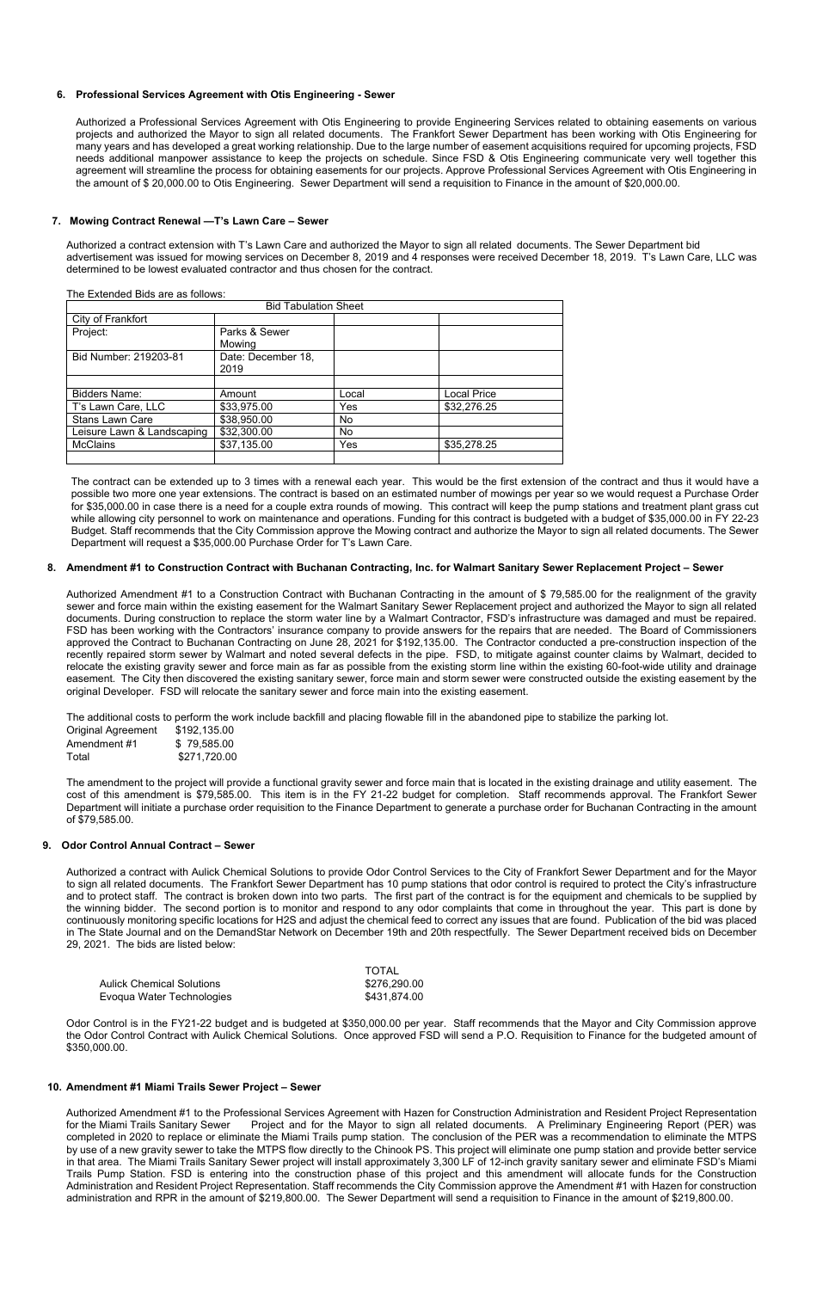## **6. Professional Services Agreement with Otis Engineering - Sewer**

Authorized a Professional Services Agreement with Otis Engineering to provide Engineering Services related to obtaining easements on various projects and authorized the Mayor to sign all related documents. The Frankfort Sewer Department has been working with Otis Engineering for many years and has developed a great working relationship. Due to the large number of easement acquisitions required for upcoming projects, FSD needs additional manpower assistance to keep the projects on schedule. Since FSD & Otis Engineering communicate very well together this agreement will streamline the process for obtaining easements for our projects. Approve Professional Services Agreement with Otis Engineering in the amount of \$ 20,000.00 to Otis Engineering. Sewer Department will send a requisition to Finance in the amount of \$20,000.00.

## **7. Mowing Contract Renewal —T's Lawn Care – Sewer**

Authorized a contract extension with T's Lawn Care and authorized the Mayor to sign all related documents. The Sewer Department bid advertisement was issued for mowing services on December 8, 2019 and 4 responses were received December 18, 2019. T's Lawn Care, LLC was determined to be lowest evaluated contractor and thus chosen for the contract.

The Extended Bids are as follows:

| <b>Bid Tabulation Sheet</b> |                    |       |             |  |  |
|-----------------------------|--------------------|-------|-------------|--|--|
| City of Frankfort           |                    |       |             |  |  |
| Project:                    | Parks & Sewer      |       |             |  |  |
|                             | Mowing             |       |             |  |  |
| Bid Number: 219203-81       | Date: December 18, |       |             |  |  |
|                             | 2019               |       |             |  |  |
|                             |                    |       |             |  |  |
| <b>Bidders Name:</b>        | Amount             | Local | Local Price |  |  |
| T's Lawn Care, LLC          | \$33,975.00        | Yes   | \$32,276.25 |  |  |
| <b>Stans Lawn Care</b>      | \$38,950.00        | No    |             |  |  |
| Leisure Lawn & Landscaping  | \$32,300.00        | No.   |             |  |  |
| <b>McClains</b>             | \$37,135.00        | Yes   | \$35,278.25 |  |  |
|                             |                    |       |             |  |  |

The contract can be extended up to 3 times with a renewal each year. This would be the first extension of the contract and thus it would have a possible two more one year extensions. The contract is based on an estimated number of mowings per year so we would request a Purchase Order for \$35,000.00 in case there is a need for a couple extra rounds of mowing. This contract will keep the pump stations and treatment plant grass cut while allowing city personnel to work on maintenance and operations. Funding for this contract is budgeted with a budget of \$35,000.00 in FY 22-23 Budget. Staff recommends that the City Commission approve the Mowing contract and authorize the Mayor to sign all related documents. The Sewer Department will request a \$35,000.00 Purchase Order for T's Lawn Care.

## **8. Amendment #1 to Construction Contract with Buchanan Contracting, Inc. for Walmart Sanitary Sewer Replacement Project – Sewer**

TOTAL Aulick Chemical Solutions  $$276,290.00$ Evoqua Water Technologies  $$431,874.00$ 

Authorized Amendment #1 to a Construction Contract with Buchanan Contracting in the amount of \$ 79,585.00 for the realignment of the gravity sewer and force main within the existing easement for the Walmart Sanitary Sewer Replacement project and authorized the Mayor to sign all related documents. During construction to replace the storm water line by a Walmart Contractor, FSD's infrastructure was damaged and must be repaired. FSD has been working with the Contractors' insurance company to provide answers for the repairs that are needed. The Board of Commissioners approved the Contract to Buchanan Contracting on June 28, 2021 for \$192,135.00. The Contractor conducted a pre-construction inspection of the recently repaired storm sewer by Walmart and noted several defects in the pipe. FSD, to mitigate against counter claims by Walmart, decided to relocate the existing gravity sewer and force main as far as possible from the existing storm line within the existing 60-foot-wide utility and drainage easement. The City then discovered the existing sanitary sewer, force main and storm sewer were constructed outside the existing easement by the original Developer. FSD will relocate the sanitary sewer and force main into the existing easement.

The additional costs to perform the work include backfill and placing flowable fill in the abandoned pipe to stabilize the parking lot.

| <b>Original Agreement</b> | \$192,135.00 |
|---------------------------|--------------|
| Amendment #1              | \$79,585,00  |
| Total                     | \$271,720.00 |

The amendment to the project will provide a functional gravity sewer and force main that is located in the existing drainage and utility easement. The cost of this amendment is \$79,585.00. This item is in the FY 21-22 budget for completion. Staff recommends approval. The Frankfort Sewer Department will initiate a purchase order requisition to the Finance Department to generate a purchase order for Buchanan Contracting in the amount of \$79,585.00.

## **9. Odor Control Annual Contract – Sewer**

Authorized a contract with Aulick Chemical Solutions to provide Odor Control Services to the City of Frankfort Sewer Department and for the Mayor to sign all related documents. The Frankfort Sewer Department has 10 pump stations that odor control is required to protect the City's infrastructure and to protect staff. The contract is broken down into two parts. The first part of the contract is for the equipment and chemicals to be supplied by the winning bidder. The second portion is to monitor and respond to any odor complaints that come in throughout the year. This part is done by continuously monitoring specific locations for H2S and adjust the chemical feed to correct any issues that are found. Publication of the bid was placed in The State Journal and on the DemandStar Network on December 19th and 20th respectfully. The Sewer Department received bids on December 29, 2021. The bids are listed below:

Odor Control is in the FY21-22 budget and is budgeted at \$350,000.00 per year. Staff recommends that the Mayor and City Commission approve the Odor Control Contract with Aulick Chemical Solutions. Once approved FSD will send a P.O. Requisition to Finance for the budgeted amount of \$350,000.00.

#### **10. Amendment #1 Miami Trails Sewer Project – Sewer**

Authorized Amendment #1 to the Professional Services Agreement with Hazen for Construction Administration and Resident Project Representation for the Miami Trails Sanitary Sewer Project and for the Mayor to sign all related documents. A Preliminary Engineering Report (PER) was completed in 2020 to replace or eliminate the Miami Trails pump station. The conclusion of the PER was a recommendation to eliminate the MTPS by use of a new gravity sewer to take the MTPS flow directly to the Chinook PS. This project will eliminate one pump station and provide better service in that area. The Miami Trails Sanitary Sewer project will install approximately 3,300 LF of 12-inch gravity sanitary sewer and eliminate FSD's Miami Trails Pump Station. FSD is entering into the construction phase of this project and this amendment will allocate funds for the Construction Administration and Resident Project Representation. Staff recommends the City Commission approve the Amendment #1 with Hazen for construction administration and RPR in the amount of \$219,800.00. The Sewer Department will send a requisition to Finance in the amount of \$219,800.00.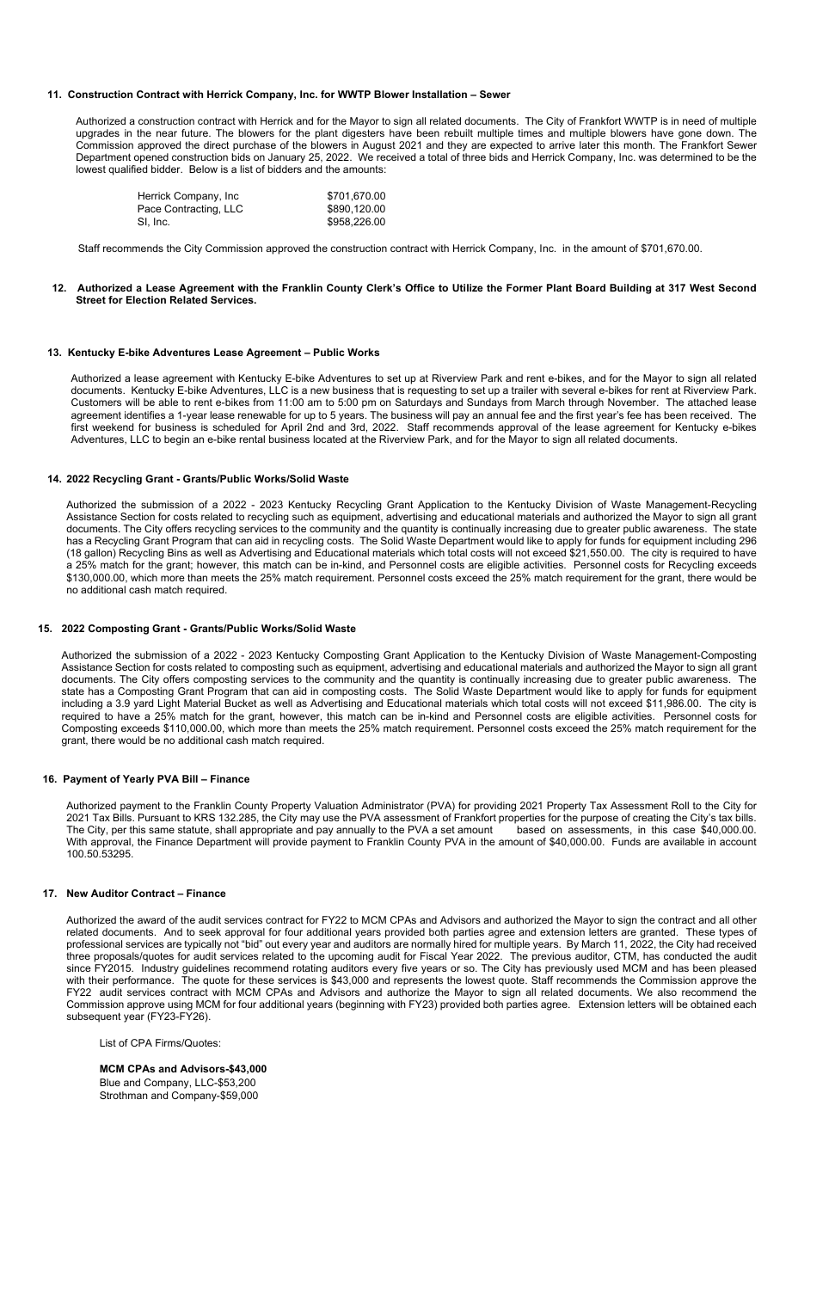#### **11. Construction Contract with Herrick Company, Inc. for WWTP Blower Installation – Sewer**

Authorized a construction contract with Herrick and for the Mayor to sign all related documents. The City of Frankfort WWTP is in need of multiple upgrades in the near future. The blowers for the plant digesters have been rebuilt multiple times and multiple blowers have gone down. The Commission approved the direct purchase of the blowers in August 2021 and they are expected to arrive later this month. The Frankfort Sewer Department opened construction bids on January 25, 2022. We received a total of three bids and Herrick Company, Inc. was determined to be the lowest qualified bidder. Below is a list of bidders and the amounts:

| Herrick Company, Inc  | \$701,670.00 |
|-----------------------|--------------|
| Pace Contracting, LLC | \$890,120.00 |
| SI, Inc.              | \$958,226.00 |

Staff recommends the City Commission approved the construction contract with Herrick Company, Inc. in the amount of \$701,670.00.

#### **12. Authorized a Lease Agreement with the Franklin County Clerk's Office to Utilize the Former Plant Board Building at 317 West Second Street for Election Related Services.**

#### **13. Kentucky E-bike Adventures Lease Agreement – Public Works**

Authorized a lease agreement with Kentucky E-bike Adventures to set up at Riverview Park and rent e-bikes, and for the Mayor to sign all related documents. Kentucky E-bike Adventures, LLC is a new business that is requesting to set up a trailer with several e-bikes for rent at Riverview Park. Customers will be able to rent e-bikes from 11:00 am to 5:00 pm on Saturdays and Sundays from March through November. The attached lease agreement identifies a 1-year lease renewable for up to 5 years. The business will pay an annual fee and the first year's fee has been received. The first weekend for business is scheduled for April 2nd and 3rd, 2022. Staff recommends approval of the lease agreement for Kentucky e-bikes Adventures, LLC to begin an e-bike rental business located at the Riverview Park, and for the Mayor to sign all related documents.

#### **14. 2022 Recycling Grant - Grants/Public Works/Solid Waste**

Authorized the submission of a 2022 - 2023 Kentucky Recycling Grant Application to the Kentucky Division of Waste Management-Recycling Assistance Section for costs related to recycling such as equipment, advertising and educational materials and authorized the Mayor to sign all grant documents. The City offers recycling services to the community and the quantity is continually increasing due to greater public awareness. The state has a Recycling Grant Program that can aid in recycling costs. The Solid Waste Department would like to apply for funds for equipment including 296 (18 gallon) Recycling Bins as well as Advertising and Educational materials which total costs will not exceed \$21,550.00. The city is required to have a 25% match for the grant; however, this match can be in-kind, and Personnel costs are eligible activities. Personnel costs for Recycling exceeds \$130,000.00, which more than meets the 25% match requirement. Personnel costs exceed the 25% match requirement for the grant, there would be no additional cash match required.

#### **15. 2022 Composting Grant - Grants/Public Works/Solid Waste**

Authorized the submission of a 2022 - 2023 Kentucky Composting Grant Application to the Kentucky Division of Waste Management-Composting Assistance Section for costs related to composting such as equipment, advertising and educational materials and authorized the Mayor to sign all grant documents. The City offers composting services to the community and the quantity is continually increasing due to greater public awareness. The state has a Composting Grant Program that can aid in composting costs. The Solid Waste Department would like to apply for funds for equipment including a 3.9 yard Light Material Bucket as well as Advertising and Educational materials which total costs will not exceed \$11,986.00. The city is required to have a 25% match for the grant, however, this match can be in-kind and Personnel costs are eligible activities. Personnel costs for Composting exceeds \$110,000.00, which more than meets the 25% match requirement. Personnel costs exceed the 25% match requirement for the grant, there would be no additional cash match required.

#### **16. Payment of Yearly PVA Bill – Finance**

Authorized payment to the Franklin County Property Valuation Administrator (PVA) for providing 2021 Property Tax Assessment Roll to the City for 2021 Tax Bills. Pursuant to KRS 132.285, the City may use the PVA assessment of Frankfort properties for the purpose of creating the City's tax bills. The City, per this same statute, shall appropriate and pay annually to the PVA a set amount based on assessments, in this case \$40,000.00. With approval, the Finance Department will provide payment to Franklin County PVA in the amount of \$40,000.00. Funds are available in account 100.50.53295.

#### **17. New Auditor Contract – Finance**

Authorized the award of the audit services contract for FY22 to MCM CPAs and Advisors and authorized the Mayor to sign the contract and all other related documents. And to seek approval for four additional years provided both parties agree and extension letters are granted. These types of professional services are typically not "bid" out every year and auditors are normally hired for multiple years. By March 11, 2022, the City had received three proposals/quotes for audit services related to the upcoming audit for Fiscal Year 2022. The previous auditor, CTM, has conducted the audit since FY2015. Industry guidelines recommend rotating auditors every five years or so. The City has previously used MCM and has been pleased with their performance. The quote for these services is \$43,000 and represents the lowest quote. Staff recommends the Commission approve the FY22 audit services contract with MCM CPAs and Advisors and authorize the Mayor to sign all related documents. We also recommend the Commission approve using MCM for four additional years (beginning with FY23) provided both parties agree. Extension letters will be obtained each subsequent year (FY23-FY26).

List of CPA Firms/Quotes:

# **MCM CPAs and Advisors-\$43,000**

Blue and Company, LLC-\$53,200 Strothman and Company-\$59,000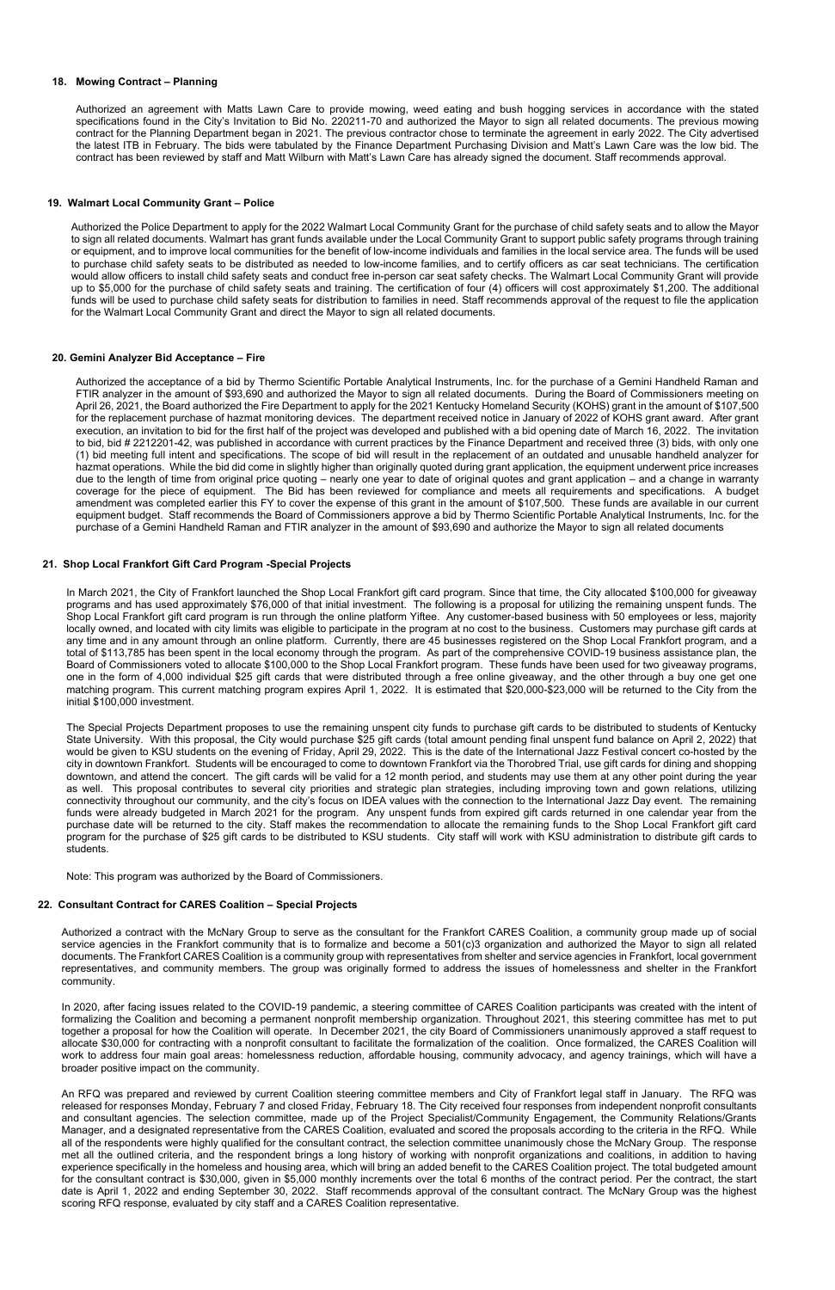#### **18. Mowing Contract – Planning**

Authorized an agreement with Matts Lawn Care to provide mowing, weed eating and bush hogging services in accordance with the stated specifications found in the City's Invitation to Bid No. 220211-70 and authorized the Mayor to sign all related documents. The previous mowing contract for the Planning Department began in 2021. The previous contractor chose to terminate the agreement in early 2022. The City advertised the latest ITB in February. The bids were tabulated by the Finance Department Purchasing Division and Matt's Lawn Care was the low bid. The contract has been reviewed by staff and Matt Wilburn with Matt's Lawn Care has already signed the document. Staff recommends approval.

#### **19. Walmart Local Community Grant – Police**

Authorized the Police Department to apply for the 2022 Walmart Local Community Grant for the purchase of child safety seats and to allow the Mayor to sign all related documents. Walmart has grant funds available under the Local Community Grant to support public safety programs through training or equipment, and to improve local communities for the benefit of low-income individuals and families in the local service area. The funds will be used to purchase child safety seats to be distributed as needed to low-income families, and to certify officers as car seat technicians. The certification would allow officers to install child safety seats and conduct free in-person car seat safety checks. The Walmart Local Community Grant will provide up to \$5,000 for the purchase of child safety seats and training. The certification of four (4) officers will cost approximately \$1,200. The additional funds will be used to purchase child safety seats for distribution to families in need. Staff recommends approval of the request to file the application for the Walmart Local Community Grant and direct the Mayor to sign all related documents.

#### **20. Gemini Analyzer Bid Acceptance – Fire**

Authorized the acceptance of a bid by Thermo Scientific Portable Analytical Instruments, Inc. for the purchase of a Gemini Handheld Raman and FTIR analyzer in the amount of \$93,690 and authorized the Mayor to sign all related documents. During the Board of Commissioners meeting on April 26, 2021, the Board authorized the Fire Department to apply for the 2021 Kentucky Homeland Security (KOHS) grant in the amount of \$107,500 for the replacement purchase of hazmat monitoring devices. The department received notice in January of 2022 of KOHS grant award. After grant execution, an invitation to bid for the first half of the project was developed and published with a bid opening date of March 16, 2022. The invitation to bid, bid # 2212201-42, was published in accordance with current practices by the Finance Department and received three (3) bids, with only one (1) bid meeting full intent and specifications. The scope of bid will result in the replacement of an outdated and unusable handheld analyzer for hazmat operations. While the bid did come in slightly higher than originally quoted during grant application, the equipment underwent price increases due to the length of time from original price quoting – nearly one year to date of original quotes and grant application – and a change in warranty coverage for the piece of equipment. The Bid has been reviewed for compliance and meets all requirements and specifications. A budget amendment was completed earlier this FY to cover the expense of this grant in the amount of \$107,500. These funds are available in our current equipment budget. Staff recommends the Board of Commissioners approve a bid by Thermo Scientific Portable Analytical Instruments, Inc. for the purchase of a Gemini Handheld Raman and FTIR analyzer in the amount of \$93,690 and authorize the Mayor to sign all related documents

#### **21. Shop Local Frankfort Gift Card Program -Special Projects**

In March 2021, the City of Frankfort launched the Shop Local Frankfort gift card program. Since that time, the City allocated \$100,000 for giveaway programs and has used approximately \$76,000 of that initial investment. The following is a proposal for utilizing the remaining unspent funds. The Shop Local Frankfort gift card program is run through the online platform Yiftee. Any customer-based business with 50 employees or less, majority locally owned, and located with city limits was eligible to participate in the program at no cost to the business. Customers may purchase gift cards at any time and in any amount through an online platform. Currently, there are 45 businesses registered on the Shop Local Frankfort program, and a total of \$113,785 has been spent in the local economy through the program. As part of the comprehensive COVID-19 business assistance plan, the Board of Commissioners voted to allocate \$100,000 to the Shop Local Frankfort program. These funds have been used for two giveaway programs, one in the form of 4,000 individual \$25 gift cards that were distributed through a free online giveaway, and the other through a buy one get one matching program. This current matching program expires April 1, 2022. It is estimated that \$20,000-\$23,000 will be returned to the City from the initial \$100,000 investment.

The Special Projects Department proposes to use the remaining unspent city funds to purchase gift cards to be distributed to students of Kentucky State University. With this proposal, the City would purchase \$25 gift cards (total amount pending final unspent fund balance on April 2, 2022) that would be given to KSU students on the evening of Friday, April 29, 2022. This is the date of the International Jazz Festival concert co-hosted by the city in downtown Frankfort. Students will be encouraged to come to downtown Frankfort via the Thorobred Trial, use gift cards for dining and shopping downtown, and attend the concert. The gift cards will be valid for a 12 month period, and students may use them at any other point during the year as well. This proposal contributes to several city priorities and strategic plan strategies, including improving town and gown relations, utilizing connectivity throughout our community, and the city's focus on IDEA values with the connection to the International Jazz Day event. The remaining funds were already budgeted in March 2021 for the program. Any unspent funds from expired gift cards returned in one calendar year from the purchase date will be returned to the city. Staff makes the recommendation to allocate the remaining funds to the Shop Local Frankfort gift card program for the purchase of \$25 gift cards to be distributed to KSU students. City staff will work with KSU administration to distribute gift cards to students.

Note: This program was authorized by the Board of Commissioners.

#### **22. Consultant Contract for CARES Coalition – Special Projects**

Authorized a contract with the McNary Group to serve as the consultant for the Frankfort CARES Coalition, a community group made up of social service agencies in the Frankfort community that is to formalize and become a 501(c)3 organization and authorized the Mayor to sign all related documents. The Frankfort CARES Coalition is a community group with representatives from shelter and service agencies in Frankfort, local government representatives, and community members. The group was originally formed to address the issues of homelessness and shelter in the Frankfort community.

In 2020, after facing issues related to the COVID-19 pandemic, a steering committee of CARES Coalition participants was created with the intent of formalizing the Coalition and becoming a permanent nonprofit membership organization. Throughout 2021, this steering committee has met to put together a proposal for how the Coalition will operate. In December 2021, the city Board of Commissioners unanimously approved a staff request to allocate \$30,000 for contracting with a nonprofit consultant to facilitate the formalization of the coalition. Once formalized, the CARES Coalition will work to address four main goal areas: homelessness reduction, affordable housing, community advocacy, and agency trainings, which will have a broader positive impact on the community.

An RFQ was prepared and reviewed by current Coalition steering committee members and City of Frankfort legal staff in January. The RFQ was released for responses Monday, February 7 and closed Friday, February 18. The City received four responses from independent nonprofit consultants and consultant agencies. The selection committee, made up of the Project Specialist/Community Engagement, the Community Relations/Grants Manager, and a designated representative from the CARES Coalition, evaluated and scored the proposals according to the criteria in the RFQ. While all of the respondents were highly qualified for the consultant contract, the selection committee unanimously chose the McNary Group. The response met all the outlined criteria, and the respondent brings a long history of working with nonprofit organizations and coalitions, in addition to having experience specifically in the homeless and housing area, which will bring an added benefit to the CARES Coalition project. The total budgeted amount for the consultant contract is \$30,000, given in \$5,000 monthly increments over the total 6 months of the contract period. Per the contract, the start date is April 1, 2022 and ending September 30, 2022. Staff recommends approval of the consultant contract. The McNary Group was the highest scoring RFQ response, evaluated by city staff and a CARES Coalition representative.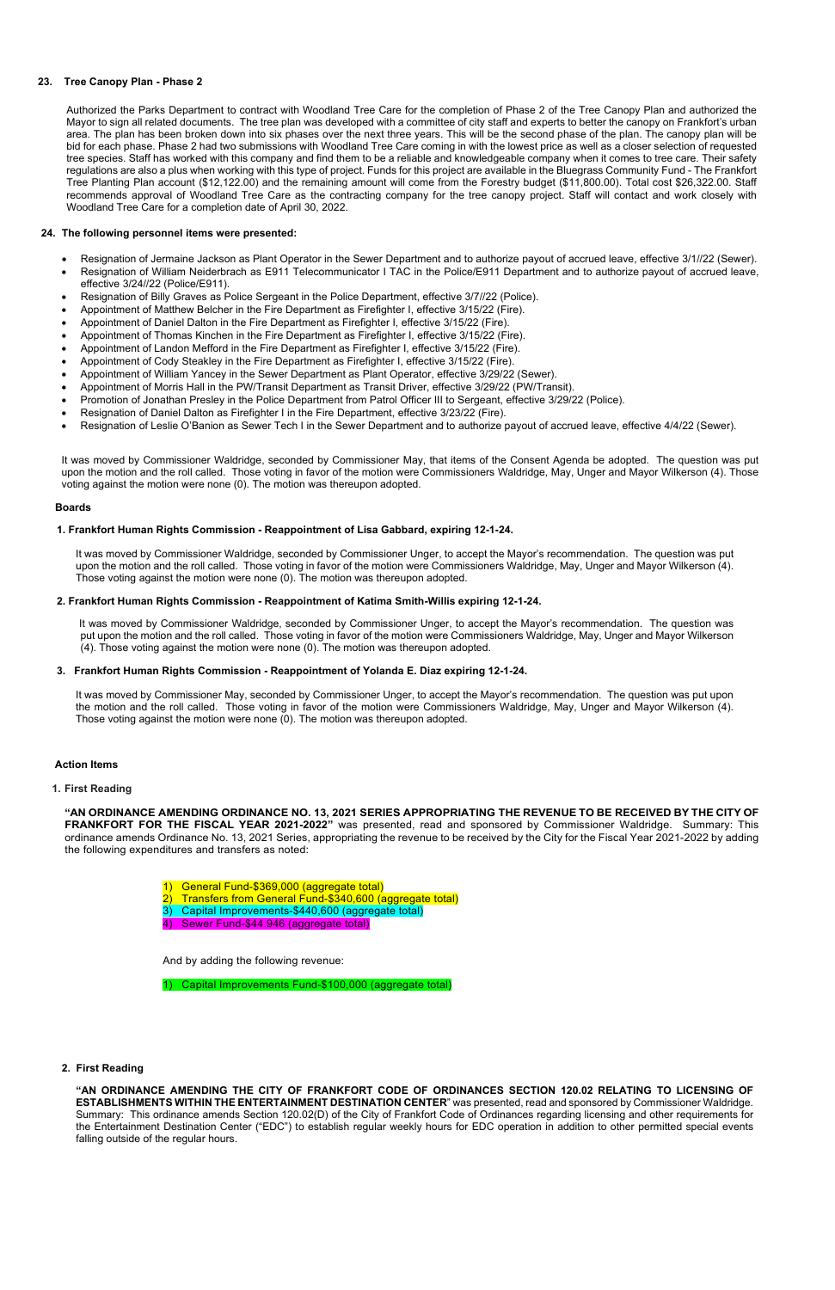## **23. Tree Canopy Plan - Phase 2**

Authorized the Parks Department to contract with Woodland Tree Care for the completion of Phase 2 of the Tree Canopy Plan and authorized the Mayor to sign all related documents. The tree plan was developed with a committee of city staff and experts to better the canopy on Frankfort's urban area. The plan has been broken down into six phases over the next three years. This will be the second phase of the plan. The canopy plan will be bid for each phase. Phase 2 had two submissions with Woodland Tree Care coming in with the lowest price as well as a closer selection of requested tree species. Staff has worked with this company and find them to be a reliable and knowledgeable company when it comes to tree care. Their safety regulations are also a plus when working with this type of project. Funds for this project are available in the Bluegrass Community Fund - The Frankfort Tree Planting Plan account (\$12,122.00) and the remaining amount will come from the Forestry budget (\$11,800.00). Total cost \$26,322.00. Staff recommends approval of Woodland Tree Care as the contracting company for the tree canopy project. Staff will contact and work closely with Woodland Tree Care for a completion date of April 30, 2022.

## **24. The following personnel items were presented:**

- Resignation of Jermaine Jackson as Plant Operator in the Sewer Department and to authorize payout of accrued leave, effective 3/1//22 (Sewer).
- Resignation of William Neiderbrach as E911 Telecommunicator I TAC in the Police/E911 Department and to authorize payout of accrued leave. effective 3/24//22 (Police/E911).
- Resignation of Billy Graves as Police Sergeant in the Police Department, effective 3/7//22 (Police).
- Appointment of Matthew Belcher in the Fire Department as Firefighter I, effective 3/15/22 (Fire).
- Appointment of Daniel Dalton in the Fire Department as Firefighter I, effective 3/15/22 (Fire).
- Appointment of Thomas Kinchen in the Fire Department as Firefighter I, effective 3/15/22 (Fire).
- Appointment of Landon Mefford in the Fire Department as Firefighter I, effective 3/15/22 (Fire).
- Appointment of Cody Steakley in the Fire Department as Firefighter I, effective 3/15/22 (Fire).
- Appointment of William Yancey in the Sewer Department as Plant Operator, effective 3/29/22 (Sewer).
- Appointment of Morris Hall in the PW/Transit Department as Transit Driver, effective 3/29/22 (PW/Transit).
- Promotion of Jonathan Presley in the Police Department from Patrol Officer III to Sergeant, effective 3/29/22 (Police).
- Resignation of Daniel Dalton as Firefighter I in the Fire Department, effective 3/23/22 (Fire).
- Resignation of Leslie O'Banion as Sewer Tech I in the Sewer Department and to authorize payout of accrued leave, effective 4/4/22 (Sewer).

- 1) General Fund-\$369,000 (aggregate total)
- 2) Transfers from General Fund-\$340,600 (aggregate total)
- Capital Improvements-\$440,600 (aggregate total)

It was moved by Commissioner Waldridge, seconded by Commissioner May, that items of the Consent Agenda be adopted. The question was put upon the motion and the roll called. Those voting in favor of the motion were Commissioners Waldridge, May, Unger and Mayor Wilkerson (4). Those voting against the motion were none (0). The motion was thereupon adopted.

#### **Boards**

#### **1. Frankfort Human Rights Commission - Reappointment of Lisa Gabbard, expiring 12-1-24.**

It was moved by Commissioner Waldridge, seconded by Commissioner Unger, to accept the Mayor's recommendation. The question was put upon the motion and the roll called. Those voting in favor of the motion were Commissioners Waldridge, May, Unger and Mayor Wilkerson (4). Those voting against the motion were none (0). The motion was thereupon adopted.

## **2. Frankfort Human Rights Commission - Reappointment of Katima Smith-Willis expiring 12-1-24.**

It was moved by Commissioner Waldridge, seconded by Commissioner Unger, to accept the Mayor's recommendation. The question was put upon the motion and the roll called. Those voting in favor of the motion were Commissioners Waldridge, May, Unger and Mayor Wilkerson (4). Those voting against the motion were none (0). The motion was thereupon adopted.

#### **3. Frankfort Human Rights Commission - Reappointment of Yolanda E. Diaz expiring 12-1-24.**

It was moved by Commissioner May, seconded by Commissioner Unger, to accept the Mayor's recommendation. The question was put upon the motion and the roll called. Those voting in favor of the motion were Commissioners Waldridge, May, Unger and Mayor Wilkerson (4). Those voting against the motion were none (0). The motion was thereupon adopted.

#### **Action Items**

## **1. First Reading**

**"AN ORDINANCE AMENDING ORDINANCE NO. 13, 2021 SERIES APPROPRIATING THE REVENUE TO BE RECEIVED BY THE CITY OF FRANKFORT FOR THE FISCAL YEAR 2021-2022"** was presented, read and sponsored by Commissioner Waldridge.Summary: This ordinance amends Ordinance No. 13, 2021 Series, appropriating the revenue to be received by the City for the Fiscal Year 2021-2022 by adding the following expenditures and transfers as noted:

## 4) Sewer Fund-\$44.946 (aggregate total)

And by adding the following revenue:

1) Capital Improvements Fund-\$100,000 (aggregate total)

#### **2. First Reading**

**"AN ORDINANCE AMENDING THE CITY OF FRANKFORT CODE OF ORDINANCES SECTION 120.02 RELATING TO LICENSING OF ESTABLISHMENTS WITHIN THE ENTERTAINMENT DESTINATION CENTER**" was presented, read and sponsored by Commissioner Waldridge. Summary: This ordinance amends Section 120.02(D) of the City of Frankfort Code of Ordinances regarding licensing and other requirements for the Entertainment Destination Center ("EDC") to establish regular weekly hours for EDC operation in addition to other permitted special events falling outside of the regular hours.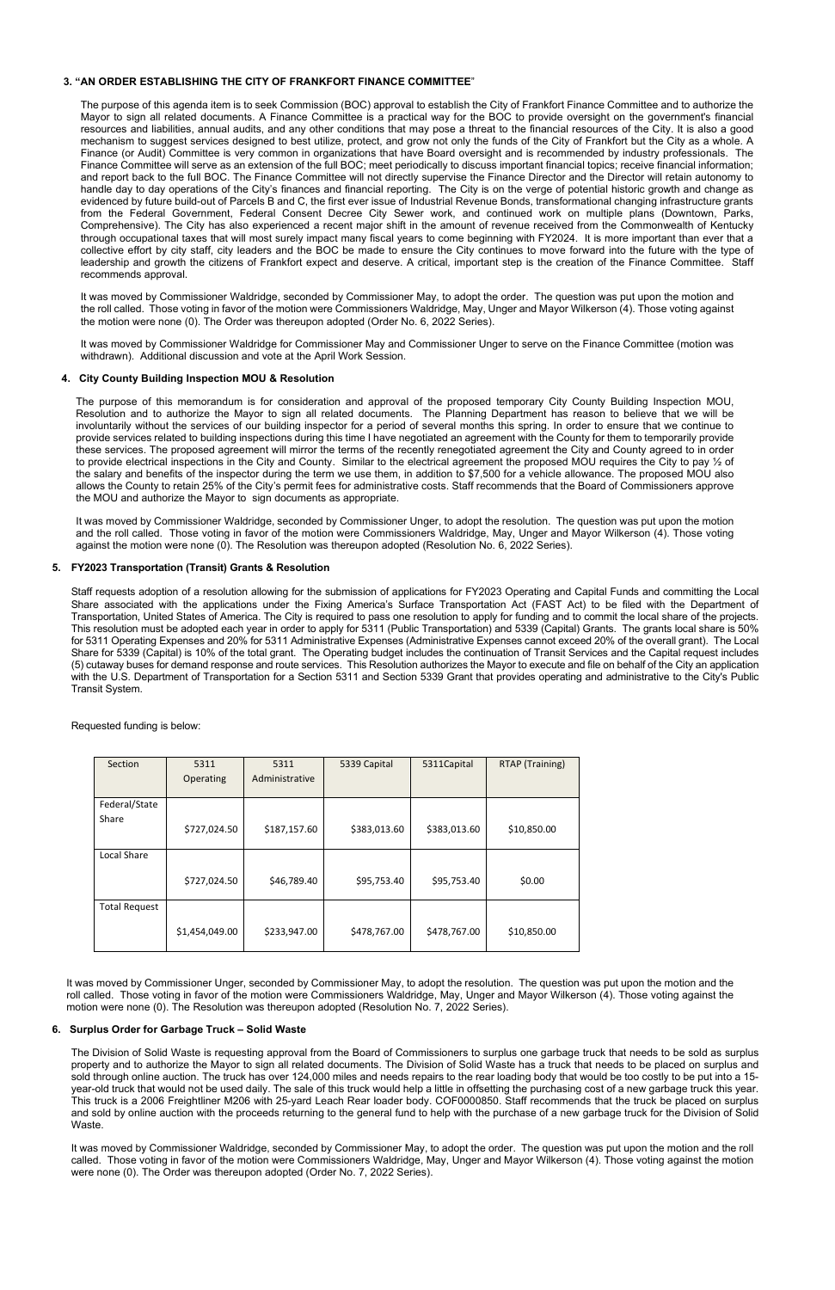## **3. "AN ORDER ESTABLISHING THE CITY OF FRANKFORT FINANCE COMMITTEE**"

The purpose of this agenda item is to seek Commission (BOC) approval to establish the City of Frankfort Finance Committee and to authorize the Mayor to sign all related documents. A Finance Committee is a practical way for the BOC to provide oversight on the government's financial resources and liabilities, annual audits, and any other conditions that may pose a threat to the financial resources of the City. It is also a good mechanism to suggest services designed to best utilize, protect, and grow not only the funds of the City of Frankfort but the City as a whole. A Finance (or Audit) Committee is very common in organizations that have Board oversight and is recommended by industry professionals. The Finance Committee will serve as an extension of the full BOC; meet periodically to discuss important financial topics; receive financial information; and report back to the full BOC. The Finance Committee will not directly supervise the Finance Director and the Director will retain autonomy to handle day to day operations of the City's finances and financial reporting. The City is on the verge of potential historic growth and change as evidenced by future build-out of Parcels B and C, the first ever issue of Industrial Revenue Bonds, transformational changing infrastructure grants from the Federal Government, Federal Consent Decree City Sewer work, and continued work on multiple plans (Downtown, Parks, Comprehensive). The City has also experienced a recent major shift in the amount of revenue received from the Commonwealth of Kentucky through occupational taxes that will most surely impact many fiscal years to come beginning with FY2024. It is more important than ever that a collective effort by city staff, city leaders and the BOC be made to ensure the City continues to move forward into the future with the type of leadership and growth the citizens of Frankfort expect and deserve. A critical, important step is the creation of the Finance Committee. Staff recommends approval.

It was moved by Commissioner Waldridge, seconded by Commissioner May, to adopt the order. The question was put upon the motion and the roll called. Those voting in favor of the motion were Commissioners Waldridge, May, Unger and Mayor Wilkerson (4). Those voting against the motion were none (0). The Order was thereupon adopted (Order No. 6, 2022 Series).

It was moved by Commissioner Waldridge for Commissioner May and Commissioner Unger to serve on the Finance Committee (motion was withdrawn). Additional discussion and vote at the April Work Session.

#### **4. City County Building Inspection MOU & Resolution**

The Division of Solid Waste is requesting approval from the Board of Commissioners to surplus one garbage truck that needs to be sold as surplus property and to authorize the Mayor to sign all related documents. The Division of Solid Waste has a truck that needs to be placed on surplus and sold through online auction. The truck has over 124,000 miles and needs repairs to the rear loading body that would be too costly to be put into a 15 year-old truck that would not be used daily. The sale of this truck would help a little in offsetting the purchasing cost of a new garbage truck this year. This truck is a 2006 Freightliner M206 with 25-yard Leach Rear loader body. COF0000850. Staff recommends that the truck be placed on surplus and sold by online auction with the proceeds returning to the general fund to help with the purchase of a new garbage truck for the Division of Solid **Waste** 

The purpose of this memorandum is for consideration and approval of the proposed temporary City County Building Inspection MOU, Resolution and to authorize the Mayor to sign all related documents. The Planning Department has reason to believe that we will be involuntarily without the services of our building inspector for a period of several months this spring. In order to ensure that we continue to provide services related to building inspections during this time I have negotiated an agreement with the County for them to temporarily provide these services. The proposed agreement will mirror the terms of the recently renegotiated agreement the City and County agreed to in order to provide electrical inspections in the City and County. Similar to the electrical agreement the proposed MOU requires the City to pay ½ of the salary and benefits of the inspector during the term we use them, in addition to \$7,500 for a vehicle allowance. The proposed MOU also allows the County to retain 25% of the City's permit fees for administrative costs. Staff recommends that the Board of Commissioners approve the MOU and authorize the Mayor to sign documents as appropriate.

 It was moved by Commissioner Waldridge, seconded by Commissioner Unger, to adopt the resolution. The question was put upon the motion and the roll called. Those voting in favor of the motion were Commissioners Waldridge, May, Unger and Mayor Wilkerson (4). Those voting against the motion were none (0). The Resolution was thereupon adopted (Resolution No. 6, 2022 Series).

#### **5. FY2023 Transportation (Transit) Grants & Resolution**

Staff requests adoption of a resolution allowing for the submission of applications for FY2023 Operating and Capital Funds and committing the Local Share associated with the applications under the Fixing America's Surface Transportation Act (FAST Act) to be filed with the Department of Transportation, United States of America. The City is required to pass one resolution to apply for funding and to commit the local share of the projects. This resolution must be adopted each year in order to apply for 5311 (Public Transportation) and 5339 (Capital) Grants. The grants local share is 50% for 5311 Operating Expenses and 20% for 5311 Administrative Expenses (Administrative Expenses cannot exceed 20% of the overall grant). The Local Share for 5339 (Capital) is 10% of the total grant. The Operating budget includes the continuation of Transit Services and the Capital request includes (5) cutaway buses for demand response and route services. This Resolution authorizes the Mayor to execute and file on behalf of the City an application with the U.S. Department of Transportation for a Section 5311 and Section 5339 Grant that provides operating and administrative to the City's Public Transit System.

#### Requested funding is below:

| Section              | 5311           | 5311           | 5339 Capital | 5311Capital  | RTAP (Training) |
|----------------------|----------------|----------------|--------------|--------------|-----------------|
|                      | Operating      | Administrative |              |              |                 |
|                      |                |                |              |              |                 |
| Federal/State        |                |                |              |              |                 |
| Share                |                |                |              |              |                 |
|                      | \$727,024.50   | \$187,157.60   | \$383,013.60 | \$383,013.60 | \$10,850.00     |
|                      |                |                |              |              |                 |
| Local Share          |                |                |              |              |                 |
|                      |                |                |              |              |                 |
|                      | \$727,024.50   | \$46,789.40    | \$95,753.40  | \$95,753.40  | \$0.00          |
|                      |                |                |              |              |                 |
| <b>Total Request</b> |                |                |              |              |                 |
|                      | \$1,454,049.00 | \$233,947.00   | \$478,767.00 | \$478,767.00 | \$10,850.00     |
|                      |                |                |              |              |                 |

It was moved by Commissioner Unger, seconded by Commissioner May, to adopt the resolution. The question was put upon the motion and the roll called. Those voting in favor of the motion were Commissioners Waldridge, May, Unger and Mayor Wilkerson (4). Those voting against the motion were none (0). The Resolution was thereupon adopted (Resolution No. 7, 2022 Series).

## **6. Surplus Order for Garbage Truck – Solid Waste**

It was moved by Commissioner Waldridge, seconded by Commissioner May, to adopt the order. The question was put upon the motion and the roll called. Those voting in favor of the motion were Commissioners Waldridge, May, Unger and Mayor Wilkerson (4). Those voting against the motion were none (0). The Order was thereupon adopted (Order No. 7, 2022 Series).